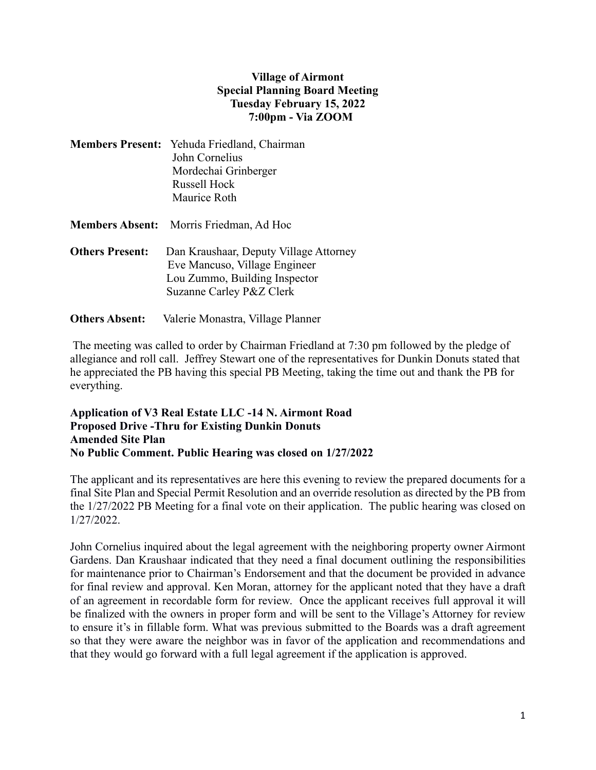## **Village of Airmont Special Planning Board Meeting Tuesday February 15, 2022 7:00pm - Via ZOOM**

- **Members Present:** Yehuda Friedland, Chairman John Cornelius Mordechai Grinberger Russell Hock Maurice Roth
- **Members Absent:** Morris Friedman, Ad Hoc
- **Others Present:** Dan Kraushaar, Deputy Village Attorney Eve Mancuso, Village Engineer Lou Zummo, Building Inspector Suzanne Carley P&Z Clerk
- **Others Absent:** Valerie Monastra, Village Planner

The meeting was called to order by Chairman Friedland at 7:30 pm followed by the pledge of allegiance and roll call. Jeffrey Stewart one of the representatives for Dunkin Donuts stated that he appreciated the PB having this special PB Meeting, taking the time out and thank the PB for everything.

## **Application of V3 Real Estate LLC -14 N. Airmont Road Proposed Drive -Thru for Existing Dunkin Donuts Amended Site Plan No Public Comment. Public Hearing was closed on 1/27/2022**

The applicant and its representatives are here this evening to review the prepared documents for a final Site Plan and Special Permit Resolution and an override resolution as directed by the PB from the 1/27/2022 PB Meeting for a final vote on their application. The public hearing was closed on 1/27/2022.

John Cornelius inquired about the legal agreement with the neighboring property owner Airmont Gardens. Dan Kraushaar indicated that they need a final document outlining the responsibilities for maintenance prior to Chairman's Endorsement and that the document be provided in advance for final review and approval. Ken Moran, attorney for the applicant noted that they have a draft of an agreement in recordable form for review. Once the applicant receives full approval it will be finalized with the owners in proper form and will be sent to the Village's Attorney for review to ensure it's in fillable form. What was previous submitted to the Boards was a draft agreement so that they were aware the neighbor was in favor of the application and recommendations and that they would go forward with a full legal agreement if the application is approved.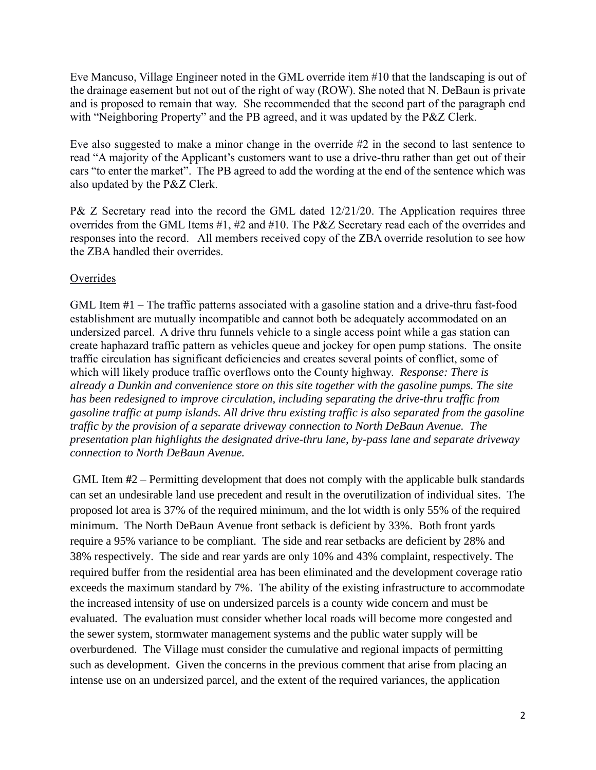Eve Mancuso, Village Engineer noted in the GML override item #10 that the landscaping is out of the drainage easement but not out of the right of way (ROW). She noted that N. DeBaun is private and is proposed to remain that way. She recommended that the second part of the paragraph end with "Neighboring Property" and the PB agreed, and it was updated by the P&Z Clerk.

Eve also suggested to make a minor change in the override #2 in the second to last sentence to read "A majority of the Applicant's customers want to use a drive-thru rather than get out of their cars "to enter the market". The PB agreed to add the wording at the end of the sentence which was also updated by the P&Z Clerk.

P& Z Secretary read into the record the GML dated 12/21/20. The Application requires three overrides from the GML Items #1, #2 and #10. The P&Z Secretary read each of the overrides and responses into the record. All members received copy of the ZBA override resolution to see how the ZBA handled their overrides.

# **Overrides**

GML Item #1 – The traffic patterns associated with a gasoline station and a drive-thru fast-food establishment are mutually incompatible and cannot both be adequately accommodated on an undersized parcel. A drive thru funnels vehicle to a single access point while a gas station can create haphazard traffic pattern as vehicles queue and jockey for open pump stations. The onsite traffic circulation has significant deficiencies and creates several points of conflict, some of which will likely produce traffic overflows onto the County highway. *Response: There is already a Dunkin and convenience store on this site together with the gasoline pumps. The site has been redesigned to improve circulation, including separating the drive-thru traffic from gasoline traffic at pump islands. All drive thru existing traffic is also separated from the gasoline traffic by the provision of a separate driveway connection to North DeBaun Avenue. The presentation plan highlights the designated drive-thru lane, by-pass lane and separate driveway connection to North DeBaun Avenue.*

GML Item **#**2 – Permitting development that does not comply with the applicable bulk standards can set an undesirable land use precedent and result in the overutilization of individual sites. The proposed lot area is 37% of the required minimum, and the lot width is only 55% of the required minimum. The North DeBaun Avenue front setback is deficient by 33%. Both front yards require a 95% variance to be compliant. The side and rear setbacks are deficient by 28% and 38% respectively. The side and rear yards are only 10% and 43% complaint, respectively. The required buffer from the residential area has been eliminated and the development coverage ratio exceeds the maximum standard by 7%. The ability of the existing infrastructure to accommodate the increased intensity of use on undersized parcels is a county wide concern and must be evaluated. The evaluation must consider whether local roads will become more congested and the sewer system, stormwater management systems and the public water supply will be overburdened. The Village must consider the cumulative and regional impacts of permitting such as development. Given the concerns in the previous comment that arise from placing an intense use on an undersized parcel, and the extent of the required variances, the application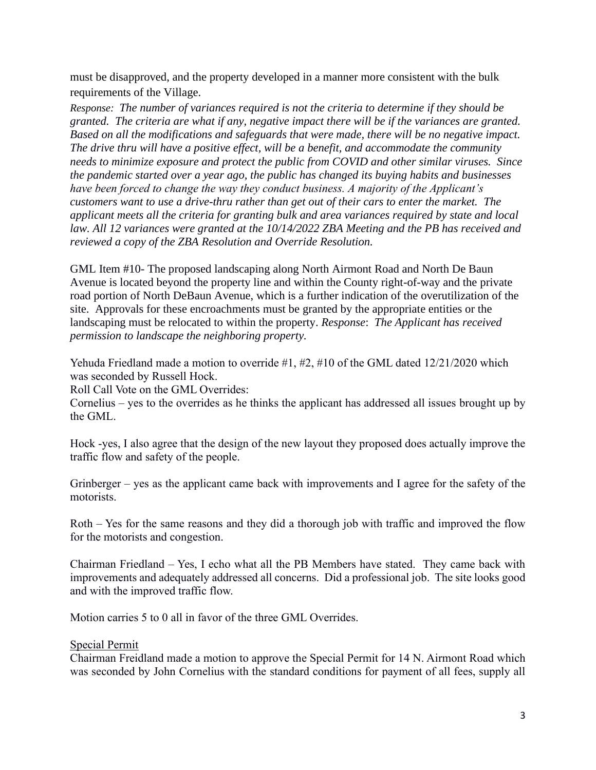must be disapproved, and the property developed in a manner more consistent with the bulk requirements of the Village.

*Response: The number of variances required is not the criteria to determine if they should be granted. The criteria are what if any, negative impact there will be if the variances are granted. Based on all the modifications and safeguards that were made, there will be no negative impact. The drive thru will have a positive effect, will be a benefit, and accommodate the community needs to minimize exposure and protect the public from COVID and other similar viruses. Since the pandemic started over a year ago, the public has changed its buying habits and businesses have been forced to change the way they conduct business. A majority of the Applicant's customers want to use a drive-thru rather than get out of their cars to enter the market. The applicant meets all the criteria for granting bulk and area variances required by state and local law. All 12 variances were granted at the 10/14/2022 ZBA Meeting and the PB has received and reviewed a copy of the ZBA Resolution and Override Resolution.*

GML Item #10- The proposed landscaping along North Airmont Road and North De Baun Avenue is located beyond the property line and within the County right-of-way and the private road portion of North DeBaun Avenue, which is a further indication of the overutilization of the site. Approvals for these encroachments must be granted by the appropriate entities or the landscaping must be relocated to within the property. *Response*: *The Applicant has received permission to landscape the neighboring property.*

Yehuda Friedland made a motion to override #1, #2, #10 of the GML dated 12/21/2020 which was seconded by Russell Hock.

Roll Call Vote on the GML Overrides:

Cornelius – yes to the overrides as he thinks the applicant has addressed all issues brought up by the GML.

Hock -yes, I also agree that the design of the new layout they proposed does actually improve the traffic flow and safety of the people.

Grinberger – yes as the applicant came back with improvements and I agree for the safety of the motorists.

Roth – Yes for the same reasons and they did a thorough job with traffic and improved the flow for the motorists and congestion.

Chairman Friedland – Yes, I echo what all the PB Members have stated. They came back with improvements and adequately addressed all concerns. Did a professional job. The site looks good and with the improved traffic flow.

Motion carries 5 to 0 all in favor of the three GML Overrides.

Special Permit

Chairman Freidland made a motion to approve the Special Permit for 14 N. Airmont Road which was seconded by John Cornelius with the standard conditions for payment of all fees, supply all